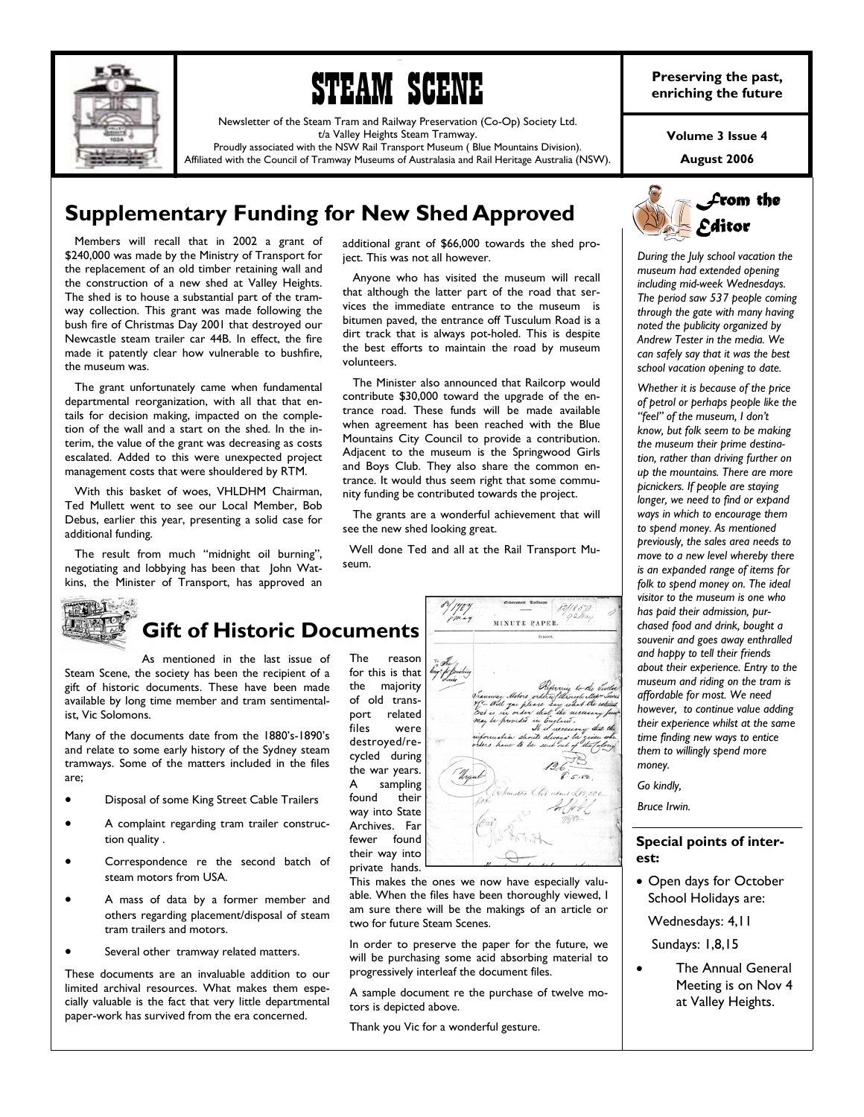



Newsletter of the Steam Tram and Railway Preservation (Co-Op) Society Ltd. t/a Valley Heights Steam Tramway.

Proudly associated with the NSW Rail Transport Museum ( Blue Mountains Division). Affiliated with the Council of Tramway Museums of Australasia and Rail Heritage Australia (NSW).

**Preserving the past, enriching the future** 

**Volume 3 Issue 4** 

**August 2006** 

# **Supplementary Funding for New Shed Approved**

 Members will recall that in 2002 a grant of \$240,000 was made by the Ministry of Transport for the replacement of an old timber retaining wall and the construction of a new shed at Valley Heights. The shed is to house a substantial part of the tramway collection. This grant was made following the bush fire of Christmas Day 2001 that destroyed our Newcastle steam trailer car 44B. In effect, the fire made it patently clear how vulnerable to bushfire, the museum was.

 The grant unfortunately came when fundamental departmental reorganization, with all that that entails for decision making, impacted on the completion of the wall and a start on the shed. In the interim, the value of the grant was decreasing as costs escalated. Added to this were unexpected project management costs that were shouldered by RTM.

 With this basket of woes, VHLDHM Chairman, Ted Mullett went to see our Local Member, Bob Debus, earlier this year, presenting a solid case for additional funding.

 The result from much "midnight oil burning", negotiating and lobbying has been that John Watkins, the Minister of Transport, has approved an



1000 - 1000 - 1000 - 1000 - 1000 - 1000 - 1000 - 1000 - 1000 - 1000 - 1000 - 1000 - 1000 - 1000 - 1000 - 1000

 Anyone who has visited the museum will recall that although the latter part of the road that services the immediate entrance to the museum is bitumen paved, the entrance off Tusculum Road is a dirt track that is always pot-holed. This is despite the best efforts to maintain the road by museum volunteers.

 The Minister also announced that Railcorp would contribute \$30,000 toward the upgrade of the entrance road. These funds will be made available when agreement has been reached with the Blue Mountains City Council to provide a contribution. Adjacent to the museum is the Springwood Girls and Boys Club. They also share the common entrance. It would thus seem right that some community funding be contributed towards the project.

 The grants are a wonderful achievement that will see the new shed looking great.

 Well done Ted and all at the Rail Transport Museum.



This makes the ones we now have especially valuable. When the files have been thoroughly viewed, I am sure there will be the makings of an article or two for future Steam Scenes.

In order to preserve the paper for the future, we will be purchasing some acid absorbing material to progressively interleaf the document files.

A sample document re the purchase of twelve motors is depicted above.

Thank you Vic for a wonderful gesture.



*During the July school vacation the museum had extended opening including mid-week Wednesdays. The period saw 537 people coming through the gate with many having noted the publicity organized by Andrew Tester in the media. We can safely say that it was the best school vacation opening to date.* 

*Whether it is because of the price of petrol or perhaps people like the "feel" of the museum, I don't know, but folk seem to be making the museum their prime destination, rather than driving further on up the mountains. There are more picnickers. If people are staying longer, we need to find or expand ways in which to encourage them to spend money. As mentioned previously, the sales area needs to move to a new level whereby there is an expanded range of items for folk to spend money on. The ideal visitor to the museum is one who has paid their admission, purchased food and drink, bought a souvenir and goes away enthralled and happy to tell their friends about their experience. Entry to the museum and riding on the tram is affordable for most. We need however, to continue value adding their experience whilst at the same time finding new ways to entice them to willingly spend more money.* 

*Go kindly,* 

*Bruce Irwin.* 

## **Special points of interest:**

• Open days for October School Holidays are:

Wednesdays: 4,11

Sundays: 1,8,15

• The Annual General Meeting is on Nov 4 at Valley Heights.

**THEIT Gift of Historic Documents** 

As mentioned in the last issue of Steam Scene, the society has been the recipient of a gift of historic documents. These have been made available by long time member and tram sentimentalist, Vic Solomons.

Many of the documents date from the 1880's-1890's and relate to some early history of the Sydney steam tramways. Some of the matters included in the files are;

- Disposal of some King Street Cable Trailers
- A complaint regarding tram trailer construction quality .
- Correspondence re the second batch of steam motors from USA.
- A mass of data by a former member and others regarding placement/disposal of steam tram trailers and motors.
- Several other tramway related matters.

These documents are an invaluable addition to our limited archival resources. What makes them especially valuable is the fact that very little departmental paper-work has survived from the era concerned.

the majority of old transport related files were destroyed/recycled during the war years. A sampling found their way into State Archives. Far fewer found their way into private hands.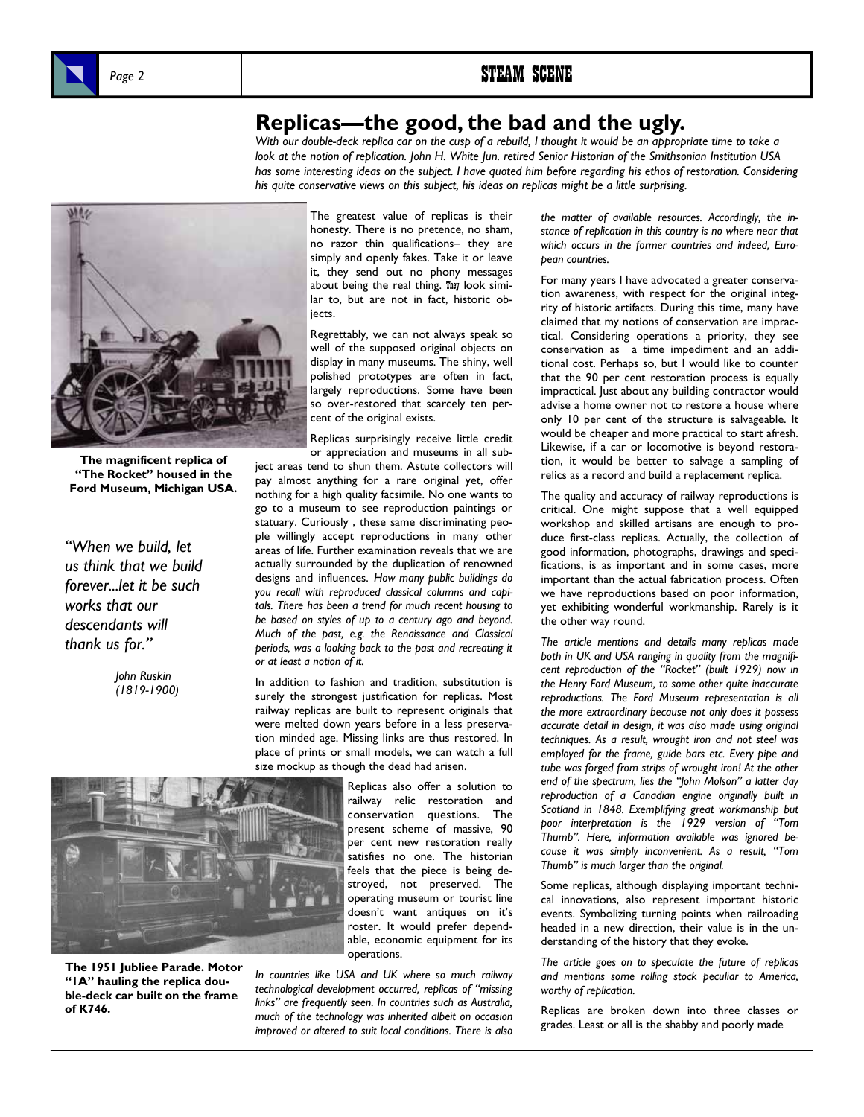# **Replicas—the good, the bad and the ugly.**

*With our double-deck replica car on the cusp of a rebuild, I thought it would be an appropriate time to take a look at the notion of replication. John H. White Jun. retired Senior Historian of the Smithsonian Institution USA*  has some interesting ideas on the subject. I have quoted him before regarding his ethos of restoration. Considering *his quite conservative views on this subject, his ideas on replicas might be a little surprising.* 



**The magnificent replica of "The Rocket" housed in the Ford Museum, Michigan USA.** 

*"When we build, let us think that we build forever...let it be such works that our descendants will thank us for."* 

> *John Ruskin (1819-1900)*

The greatest value of replicas is their honesty. There is no pretence, no sham, no razor thin qualifications– they are simply and openly fakes. Take it or leave it, they send out no phony messages about being the real thing. They look similar to, but are not in fact, historic objects.

Regrettably, we can not always speak so well of the supposed original objects on display in many museums. The shiny, well polished prototypes are often in fact, largely reproductions. Some have been so over-restored that scarcely ten percent of the original exists.

Replicas surprisingly receive little credit or appreciation and museums in all subject areas tend to shun them. Astute collectors will pay almost anything for a rare original yet, offer nothing for a high quality facsimile. No one wants to go to a museum to see reproduction paintings or statuary. Curiously , these same discriminating people willingly accept reproductions in many other areas of life. Further examination reveals that we are actually surrounded by the duplication of renowned designs and influences. *How many public buildings do you recall with reproduced classical columns and capitals. There has been a trend for much recent housing to be based on styles of up to a century ago and beyond. Much of the past, e.g. the Renaissance and Classical periods, was a looking back to the past and recreating it or at least a notion of it.* 

In addition to fashion and tradition, substitution is surely the strongest justification for replicas. Most railway replicas are built to represent originals that were melted down years before in a less preservation minded age. Missing links are thus restored. In place of prints or small models, we can watch a full size mockup as though the dead had arisen.



**The 1951 Jubliee Parade. Motor "1A" hauling the replica double-deck car built on the frame of K746.** 

Replicas also offer a solution to railway relic restoration and conservation questions. The present scheme of massive, 90 per cent new restoration really satisfies no one. The historian feels that the piece is being destroyed, not preserved. The operating museum or tourist line doesn't want antiques on it's roster. It would prefer dependable, economic equipment for its operations.

*In countries like USA and UK where so much railway technological development occurred, replicas of "missing links" are frequently seen. In countries such as Australia, much of the technology was inherited albeit on occasion improved or altered to suit local conditions. There is also* 

*the matter of available resources. Accordingly, the instance of replication in this country is no where near that which occurs in the former countries and indeed, European countries.* 

For many years I have advocated a greater conservation awareness, with respect for the original integrity of historic artifacts. During this time, many have claimed that my notions of conservation are impractical. Considering operations a priority, they see conservation as a time impediment and an additional cost. Perhaps so, but I would like to counter that the 90 per cent restoration process is equally impractical. Just about any building contractor would advise a home owner not to restore a house where only 10 per cent of the structure is salvageable. It would be cheaper and more practical to start afresh. Likewise, if a car or locomotive is beyond restoration, it would be better to salvage a sampling of relics as a record and build a replacement replica.

The quality and accuracy of railway reproductions is critical. One might suppose that a well equipped workshop and skilled artisans are enough to produce first-class replicas. Actually, the collection of good information, photographs, drawings and specifications, is as important and in some cases, more important than the actual fabrication process. Often we have reproductions based on poor information, yet exhibiting wonderful workmanship. Rarely is it the other way round.

*The article mentions and details many replicas made both in UK and USA ranging in quality from the magnificent reproduction of the "Rocket" (built 1929) now in the Henry Ford Museum, to some other quite inaccurate reproductions. The Ford Museum representation is all the more extraordinary because not only does it possess accurate detail in design, it was also made using original techniques. As a result, wrought iron and not steel was employed for the frame, guide bars etc. Every pipe and tube was forged from strips of wrought iron! At the other end of the spectrum, lies the "John Molson" a latter day reproduction of a Canadian engine originally built in Scotland in 1848. Exemplifying great workmanship but poor interpretation is the 1929 version of "Tom Thumb". Here, information available was ignored because it was simply inconvenient. As a result, "Tom Thumb" is much larger than the original.* 

Some replicas, although displaying important technical innovations, also represent important historic events. Symbolizing turning points when railroading headed in a new direction, their value is in the understanding of the history that they evoke.

*The article goes on to speculate the future of replicas and mentions some rolling stock peculiar to America, worthy of replication.* 

Replicas are broken down into three classes or grades. Least or all is the shabby and poorly made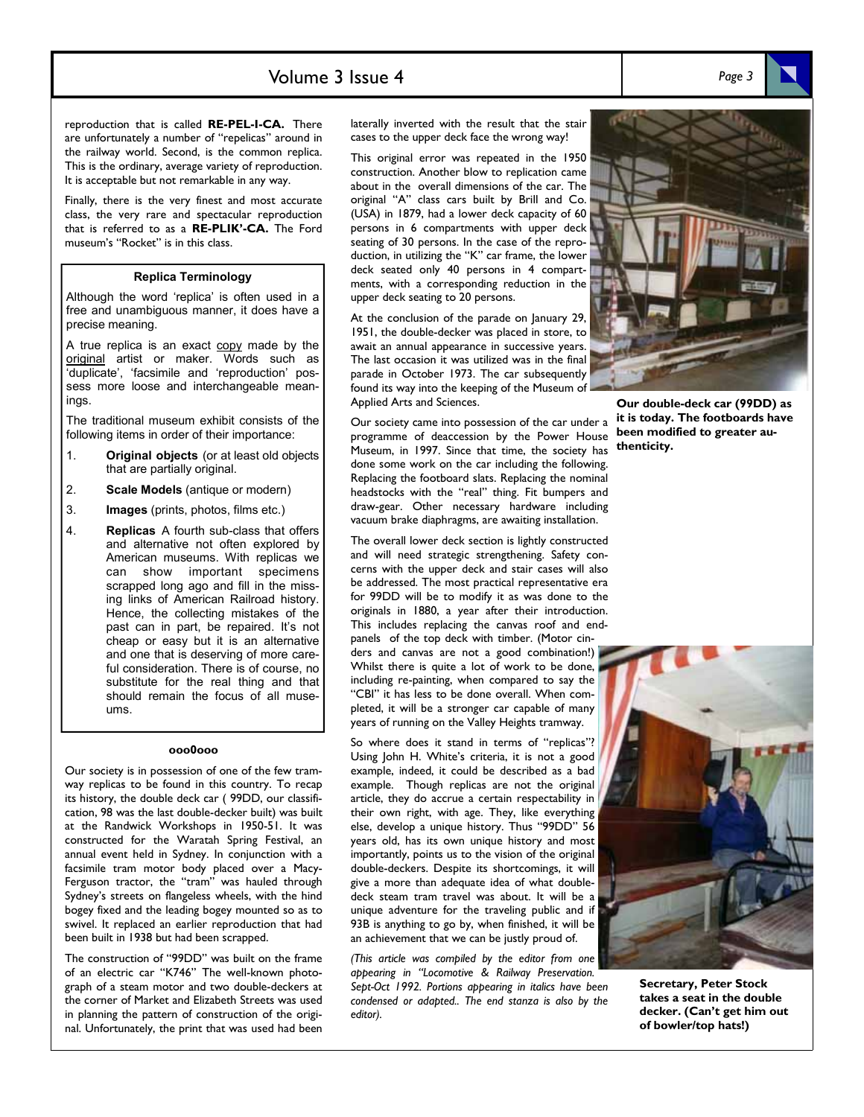## Volume 3 Issue 4 *Page 3*

reproduction that is called **RE-PEL-I-CA.** There are unfortunately a number of "repelicas" around in the railway world. Second, is the common replica. This is the ordinary, average variety of reproduction. It is acceptable but not remarkable in any way.

Finally, there is the very finest and most accurate class, the very rare and spectacular reproduction that is referred to as a **RE-PLIK'-CA.** The Ford museum's "Rocket" is in this class.

### **Replica Terminology**

Although the word 'replica' is often used in a free and unambiguous manner, it does have a precise meaning.

A true replica is an exact copy made by the original artist or maker. Words such as 'duplicate', 'facsimile and 'reproduction' possess more loose and interchangeable meanings

The traditional museum exhibit consists of the following items in order of their importance:

- 1. **Original objects** (or at least old objects that are partially original.
- 2. **Scale Models** (antique or modern)
- 3. **Images** (prints, photos, films etc.)
- 4. **Replicas** A fourth sub-class that offers and alternative not often explored by American museums. With replicas we can show important specimens scrapped long ago and fill in the missing links of American Railroad history. Hence, the collecting mistakes of the past can in part, be repaired. It's not cheap or easy but it is an alternative and one that is deserving of more careful consideration. There is of course, no substitute for the real thing and that should remain the focus of all museums.

#### **ooo0ooo**

Our society is in possession of one of the few tramway replicas to be found in this country. To recap its history, the double deck car ( 99DD, our classification, 98 was the last double-decker built) was built at the Randwick Workshops in 1950-51. It was constructed for the Waratah Spring Festival, an annual event held in Sydney. In conjunction with a facsimile tram motor body placed over a Macy-Ferguson tractor, the "tram" was hauled through Sydney's streets on flangeless wheels, with the hind bogey fixed and the leading bogey mounted so as to swivel. It replaced an earlier reproduction that had been built in 1938 but had been scrapped.

The construction of "99DD" was built on the frame of an electric car "K746" The well-known photograph of a steam motor and two double-deckers at the corner of Market and Elizabeth Streets was used in planning the pattern of construction of the original. Unfortunately, the print that was used had been

laterally inverted with the result that the stair cases to the upper deck face the wrong way!

This original error was repeated in the 1950 construction. Another blow to replication came about in the overall dimensions of the car. The original "A" class cars built by Brill and Co. (USA) in 1879, had a lower deck capacity of 60 persons in 6 compartments with upper deck seating of 30 persons. In the case of the reproduction, in utilizing the "K" car frame, the lower deck seated only 40 persons in 4 compartments, with a corresponding reduction in the upper deck seating to 20 persons.

At the conclusion of the parade on January 29, 1951, the double-decker was placed in store, to await an annual appearance in successive years. The last occasion it was utilized was in the final parade in October 1973. The car subsequently found its way into the keeping of the Museum of Applied Arts and Sciences.

Our society came into possession of the car under a programme of deaccession by the Power House Museum, in 1997. Since that time, the society has done some work on the car including the following. Replacing the footboard slats. Replacing the nominal headstocks with the "real" thing. Fit bumpers and draw-gear. Other necessary hardware including vacuum brake diaphragms, are awaiting installation.

The overall lower deck section is lightly constructed and will need strategic strengthening. Safety concerns with the upper deck and stair cases will also be addressed. The most practical representative era for 99DD will be to modify it as was done to the originals in 1880, a year after their introduction. This includes replacing the canvas roof and endpanels of the top deck with timber. (Motor cinders and canvas are not a good combination!)

Whilst there is quite a lot of work to be done, including re-painting, when compared to say the "CBI" it has less to be done overall. When completed, it will be a stronger car capable of many years of running on the Valley Heights tramway.

So where does it stand in terms of "replicas"? Using John H. White's criteria, it is not a good example, indeed, it could be described as a bad example. Though replicas are not the original article, they do accrue a certain respectability in their own right, with age. They, like everything else, develop a unique history. Thus "99DD" 56 years old, has its own unique history and most importantly, points us to the vision of the original double-deckers. Despite its shortcomings, it will give a more than adequate idea of what doubledeck steam tram travel was about. It will be a unique adventure for the traveling public and if 93B is anything to go by, when finished, it will be an achievement that we can be justly proud of.

*(This article was compiled by the editor from one appearing in "Locomotive & Railway Preservation. Sept-Oct 1992. Portions appearing in italics have been condensed or adapted.. The end stanza is also by the editor).* 

**Our double-deck car (99DD) as it is today. The footboards have been modified to greater authenticity.** 



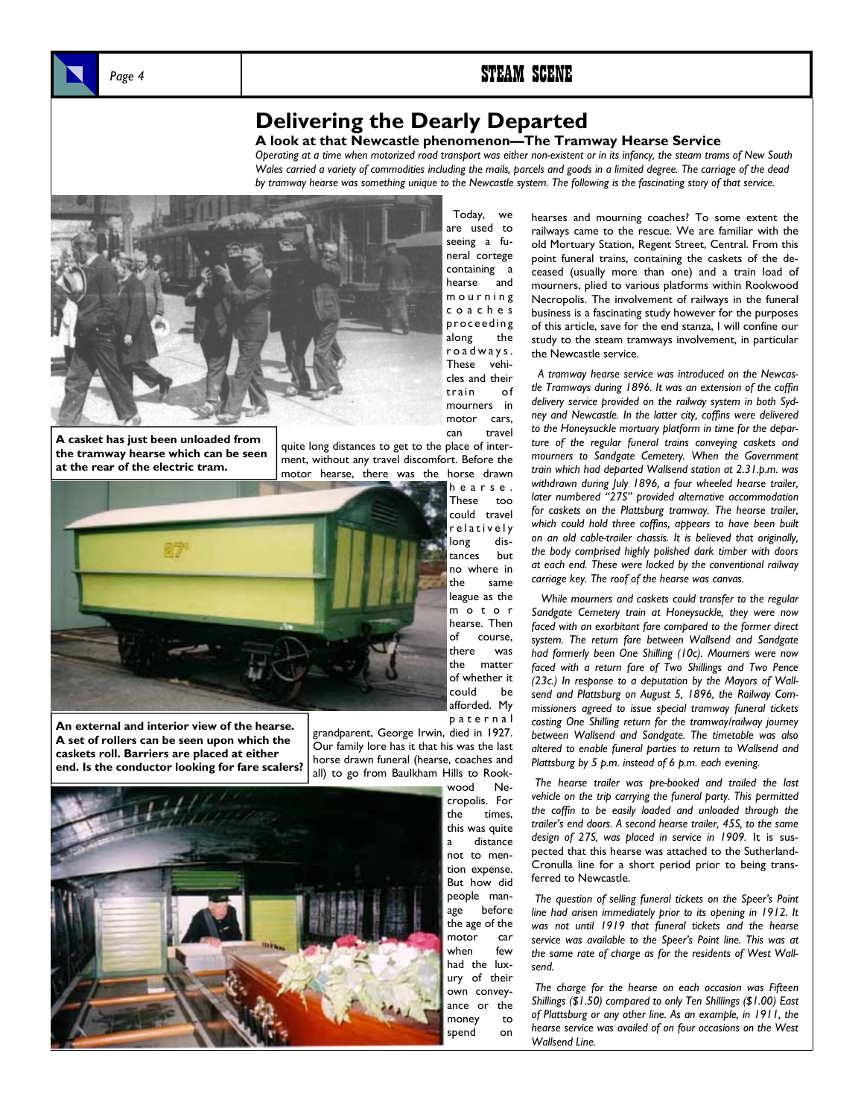

## **Delivering the Dearly Departed**

### **A look at that Newcastle phenomenon—The Tramway Hearse Service**

 Today, we are used to

*Operating at a time when motorized road transport was either non-existent or in its infancy, the steam trams of New South Wales carried a variety of commodities including the mails, parcels and goods in a limited degree. The carriage of the dead by tramway hearse was something unique to the Newcastle system. The following is the fascinating story of that service.* 



**A casket has just been unloaded from the tramway hearse which can be seen at the rear of the electric tram.** 

seeing a funeral cortege containing a hearse and m o u r n i n g c o a c h e s proceeding along the r o a d w a y s . These vehicles and their train of mourners in motor cars, can travel

quite long distances to get to the place of interment, without any travel discomfort. Before the motor hearse, there was the horse drawn



**An external and interior view of the hearse. A set of rollers can be seen upon which the caskets roll. Barriers are placed at either end. Is the conductor looking for fare scalers?** 

Our family lore has it that his was the last horse drawn funeral (hearse, coaches and all) to go from Baulkham Hills to Rook-



hearses and mourning coaches? To some extent the railways came to the rescue. We are familiar with the old Mortuary Station, Regent Street, Central. From this point funeral trains, containing the caskets of the deceased (usually more than one) and a train load of mourners, plied to various platforms within Rookwood Necropolis. The involvement of railways in the funeral business is a fascinating study however for the purposes of this article, save for the end stanza, I will confine our study to the steam tramways involvement, in particular the Newcastle service.

 *A tramway hearse service was introduced on the Newcastle Tramways during 1896. It was an extension of the coffin delivery service provided on the railway system in both Sydney and Newcastle. In the latter city, coffins were delivered to the Honeysuckle mortuary platform in time for the departure of the regular funeral trains conveying caskets and mourners to Sandgate Cemetery. When the Government train which had departed Wallsend station at 2.31.p.m. was withdrawn during July 1896, a four wheeled hearse trailer, later numbered "27S" provided alternative accommodation for caskets on the Plattsburg tramway. The hearse trailer, which could hold three coffins, appears to have been built on an old cable-trailer chassis. It is believed that originally, the body comprised highly polished dark timber with doors at each end. These were locked by the conventional railway carriage key. The roof of the hearse was canvas.* 

 *While mourners and caskets could transfer to the regular Sandgate Cemetery train at Honeysuckle, they were now faced with an exorbitant fare compared to the former direct system. The return fare between Wallsend and Sandgate had formerly been One Shilling (10c). Mourners were now faced with a return fare of Two Shillings and Two Pence (23c.) In response to a deputation by the Mayors of Wallsend and Plattsburg on August 5, 1896, the Railway Commissioners agreed to issue special tramway funeral tickets costing One Shilling return for the tramway/railway journey between Wallsend and Sandgate. The timetable was also altered to enable funeral parties to return to Wallsend and Plattsburg by 5 p.m. instead of 6 p.m. each evening.* 

 *The hearse trailer was pre-booked and trailed the last vehicle on the trip carrying the funeral party. This permitted the coffin to be easily loaded and unloaded through the trailer's end doors. A second hearse trailer, 45S, to the same design of 27S, was placed in service in 1909.* It is suspected that this hearse was attached to the Sutherland-Cronulla line for a short period prior to being transferred to Newcastle.

*The question of selling funeral tickets on the Speer's Point line had arisen immediately prior to its opening in 1912. It was not until 1919 that funeral tickets and the hearse service was available to the Speer's Point line. This was at the same rate of charge as for the residents of West Wallsend.* 

 *The charge for the hearse on each occasion was Fifteen Shillings (\$1.50) compared to only Ten Shillings (\$1.00) East of Plattsburg or any other line. As an example, in 1911, the hearse service was availed of on four occasions on the West Wallsend Line.* 

could be afforded. My p a t e r n a l grandparent, George Irwin, died in 1927.

> wood Necropolis. For the times, this was quite a distance not to mention expense. But how did people manage before the age of the motor car when few had the luxury of their own conveyance or the money to spend on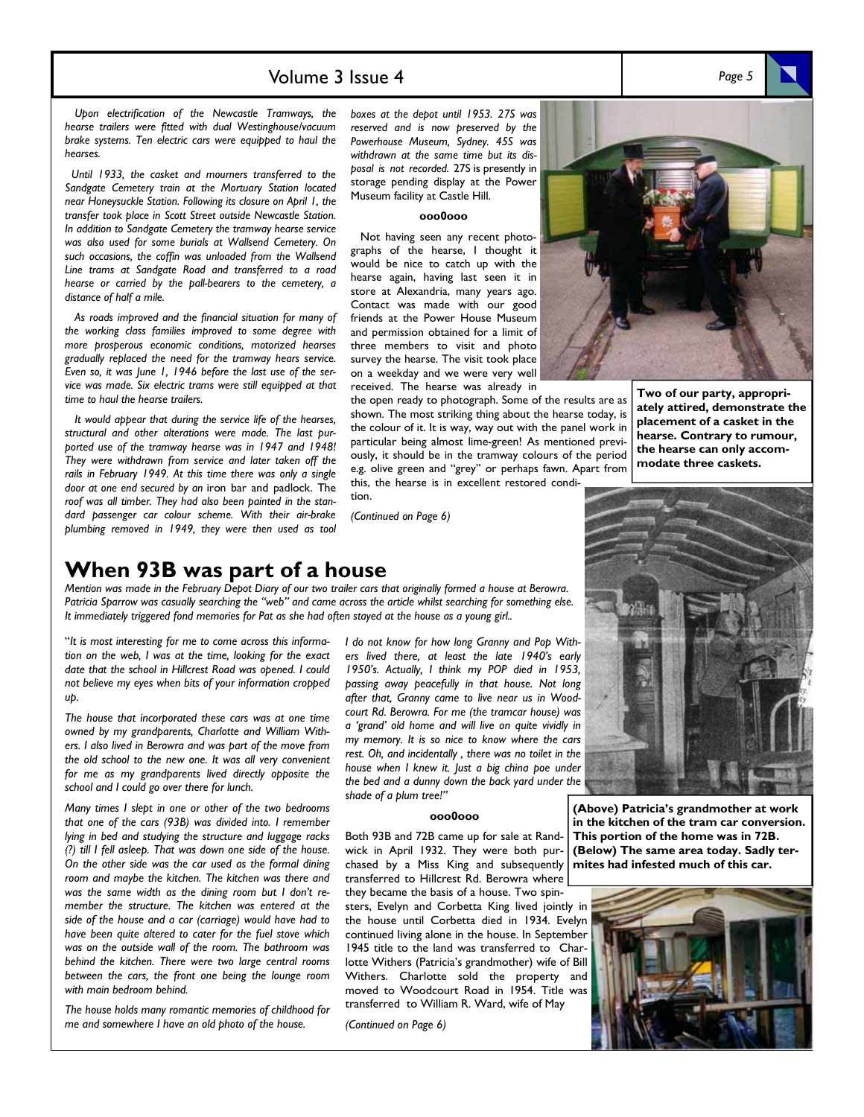## Volume 3 Issue 4 *Page 5*

 *Upon electrification of the Newcastle Tramways, the hearse trailers were fitted with dual Westinghouse/vacuum brake systems. Ten electric cars were equipped to haul the hearses.* 

 *Until 1933, the casket and mourners transferred to the Sandgate Cemetery train at the Mortuary Station located near Honeysuckle Station. Following its closure on April 1, the transfer took place in Scott Street outside Newcastle Station. In addition to Sandgate Cemetery the tramway hearse service was also used for some burials at Wallsend Cemetery. On such occasions, the coffin was unloaded from the Wallsend Line trams at Sandgate Road and transferred to a road hearse or carried by the pall-bearers to the cemetery, a distance of half a mile.* 

 *As roads improved and the financial situation for many of the working class families improved to some degree with more prosperous economic conditions, motorized hearses gradually replaced the need for the tramway hears service. Even so, it was June 1, 1946 before the last use of the service was made. Six electric trams were still equipped at that time to haul the hearse trailers.* 

 *It would appear that during the service life of the hearses, structural and other alterations were made. The last purported use of the tramway hearse was in 1947 and 1948! They were withdrawn from service and later taken off the rails in February 1949. At this time there was only a single door at one end secured by an* iron bar and padlock. The *roof was all timber. They had also been painted in the standard passenger car colour scheme. With their air-brake plumbing removed in 1949, they were then used as tool* 

*boxes at the depot until 1953. 27S was reserved and is now preserved by the Powerhouse Museum, Sydney. 45S was withdrawn at the same time but its disposal is not recorded.* 27S is presently in storage pending display at the Power Museum facility at Castle Hill.

### **ooo0ooo**

 Not having seen any recent photographs of the hearse, I thought it would be nice to catch up with the hearse again, having last seen it in store at Alexandria, many years ago. Contact was made with our good friends at the Power House Museum and permission obtained for a limit of three members to visit and photo survey the hearse. The visit took place on a weekday and we were very well received. The hearse was already in

the open ready to photograph. Some of the results are as shown. The most striking thing about the hearse today, is the colour of it. It is way, way out with the panel work in particular being almost lime-green! As mentioned previously, it should be in the tramway colours of the period e.g. olive green and "grey" or perhaps fawn. Apart from this, the hearse is in excellent restored condi-

tion.

*(Continued on Page 6)* 

# **When 93B was part of a house**

*Mention was made in the February Depot Diary of our two trailer cars that originally formed a house at Berowra. Patricia Sparrow was casually searching the "web" and came across the article whilst searching for something else. It immediately triggered fond memories for Pat as she had often stayed at the house as a young girl..* 

"*It is most interesting for me to come across this information on the web, I was at the time, looking for the exact date that the school in Hillcrest Road was opened. I could not believe my eyes when bits of your information cropped up.* 

*The house that incorporated these cars was at one time owned by my grandparents, Charlotte and William Withers. I also lived in Berowra and was part of the move from the old school to the new one. It was all very convenient for me as my grandparents lived directly opposite the school and I could go over there for lunch.* 

*Many times I slept in one or other of the two bedrooms that one of the cars (93B) was divided into. I remember lying in bed and studying the structure and luggage racks (?) till I fell asleep. That was down one side of the house. On the other side was the car used as the formal dining room and maybe the kitchen. The kitchen was there and was the same width as the dining room but I don't remember the structure. The kitchen was entered at the side of the house and a car (carriage) would have had to have been quite altered to cater for the fuel stove which was on the outside wall of the room. The bathroom was behind the kitchen. There were two large central rooms between the cars, the front one being the lounge room with main bedroom behind.* 

*The house holds many romantic memories of childhood for me and somewhere I have an old photo of the house.* 

*I do not know for how long Granny and Pop Withers lived there, at least the late 1940's early 1950's. Actually, I think my POP died in 1953, passing away peacefully in that house. Not long after that, Granny came to live near us in Woodcourt Rd. Berowra. For me (the tramcar house) was a 'grand' old home and will live on quite vividly in my memory. It is so nice to know where the cars rest. Oh, and incidentally , there was no toilet in the house when I knew it. Just a big china poe under the bed and a dunny down the back yard under the shade of a plum tree!"* 

### **ooo0ooo**

Both 93B and 72B came up for sale at Randwick in April 1932. They were both purchased by a Miss King and subsequently transferred to Hillcrest Rd. Berowra where they became the basis of a house. Two spinsters, Evelyn and Corbetta King lived jointly in the house until Corbetta died in 1934. Evelyn continued living alone in the house. In September 1945 title to the land was transferred to Charlotte Withers (Patricia's grandmother) wife of Bill Withers. Charlotte sold the property and moved to Woodcourt Road in 1954. Title was

transferred to William R. Ward, wife of May

*(Continued on Page 6)*

**Two of our party, appropriately attired, demonstrate the placement of a casket in the** 

**hearse. Contrary to rumour, the hearse can only accommodate three caskets.** 



**(Above) Patricia's grandmother at work in the kitchen of the tram car conversion. This portion of the home was in 72B. (Below) The same area today. Sadly termites had infested much of this car.**